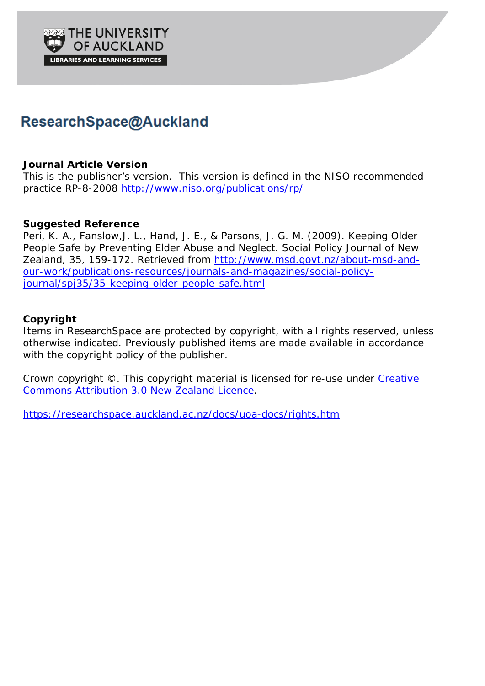

# ResearchSpace@Auckland

#### **Journal Article Version**

This is the publisher's version. This version is defined in the NISO recommended practice RP-8-2008 <http://www.niso.org/publications/rp/>

#### **Suggested Reference**

Peri, K. A., Fanslow,J. L., Hand, J. E., & Parsons, J. G. M. (2009). Keeping Older People Safe by Preventing Elder Abuse and Neglect. *Social Policy Journal of New Zealand, 35*, 159-172. Retrieved from [http://www.msd.govt.nz/about-msd-and](http://www.msd.govt.nz/about-msd-and-our-work/publications-resources/journals-and-magazines/social-policy-journal/spj35/35-keeping-older-people-safe.html)[our-work/publications-resources/journals-and-magazines/social-policy](http://www.msd.govt.nz/about-msd-and-our-work/publications-resources/journals-and-magazines/social-policy-journal/spj35/35-keeping-older-people-safe.html)[journal/spj35/35-keeping-older-people-safe.html](http://www.msd.govt.nz/about-msd-and-our-work/publications-resources/journals-and-magazines/social-policy-journal/spj35/35-keeping-older-people-safe.html)

#### **Copyright**

Items in ResearchSpace are protected by copyright, with all rights reserved, unless otherwise indicated. Previously published items are made available in accordance with the copyright policy of the publisher.

Crown copyright ©. This copyright material is licensed for re-use under [Creative](http://creativecommons.org/licenses/by/3.0/nz/legalcode)  [Commons Attribution 3.0 New Zealand Licence.](http://creativecommons.org/licenses/by/3.0/nz/legalcode)

<https://researchspace.auckland.ac.nz/docs/uoa-docs/rights.htm>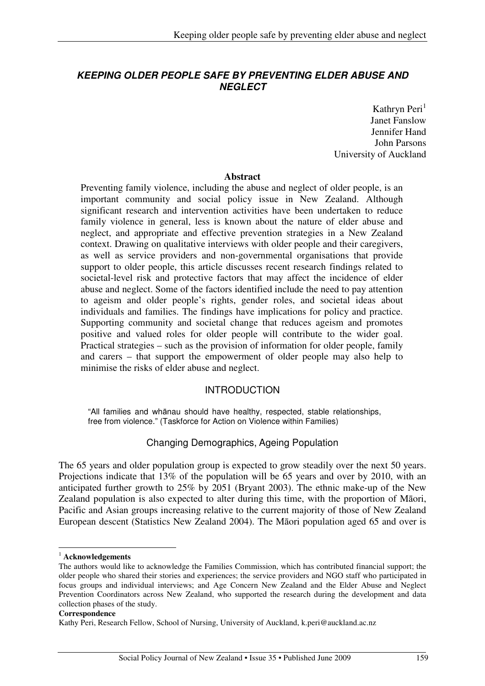# **KEEPING OLDER PEOPLE SAFE BY PREVENTING ELDER ABUSE AND NEGLECT**

Kathryn Peri $<sup>1</sup>$ </sup> Janet Fanslow Jennifer Hand John Parsons University of Auckland

#### **Abstract**

Preventing family violence, including the abuse and neglect of older people, is an important community and social policy issue in New Zealand. Although significant research and intervention activities have been undertaken to reduce family violence in general, less is known about the nature of elder abuse and neglect, and appropriate and effective prevention strategies in a New Zealand context. Drawing on qualitative interviews with older people and their caregivers, as well as service providers and non-governmental organisations that provide support to older people, this article discusses recent research findings related to societal-level risk and protective factors that may affect the incidence of elder abuse and neglect. Some of the factors identified include the need to pay attention to ageism and older people's rights, gender roles, and societal ideas about individuals and families. The findings have implications for policy and practice. Supporting community and societal change that reduces ageism and promotes positive and valued roles for older people will contribute to the wider goal. Practical strategies – such as the provision of information for older people, family and carers – that support the empowerment of older people may also help to minimise the risks of elder abuse and neglect.

# INTRODUCTION

"All families and whānau should have healthy, respected, stable relationships, free from violence." (Taskforce for Action on Violence within Families)

# Changing Demographics, Ageing Population

The 65 years and older population group is expected to grow steadily over the next 50 years. Projections indicate that 13% of the population will be 65 years and over by 2010, with an anticipated further growth to 25% by 2051 (Bryant 2003). The ethnic make-up of the New Zealand population is also expected to alter during this time, with the proportion of Māori, Pacific and Asian groups increasing relative to the current majority of those of New Zealand European descent (Statistics New Zealand 2004). The Māori population aged 65 and over is

 $\overline{a}$ 

<sup>1</sup> **Acknowledgements**

The authors would like to acknowledge the Families Commission, which has contributed financial support; the older people who shared their stories and experiences; the service providers and NGO staff who participated in focus groups and individual interviews; and Age Concern New Zealand and the Elder Abuse and Neglect Prevention Coordinators across New Zealand, who supported the research during the development and data collection phases of the study.

**Correspondence**

Kathy Peri, Research Fellow, School of Nursing, University of Auckland, k.peri@auckland.ac.nz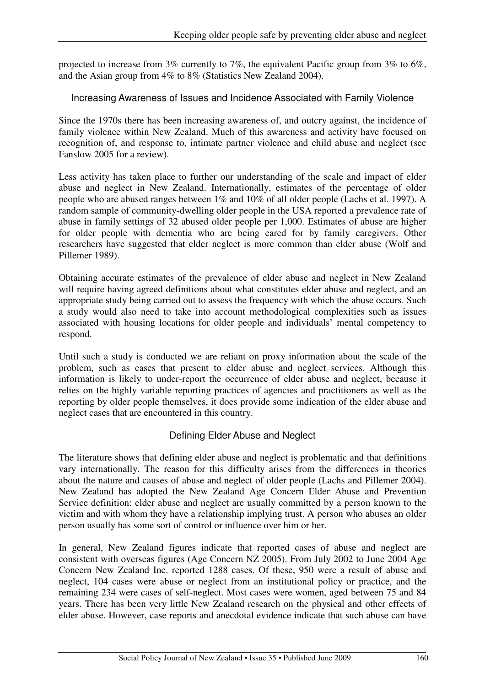projected to increase from 3% currently to 7%, the equivalent Pacific group from 3% to 6%, and the Asian group from 4% to 8% (Statistics New Zealand 2004).

## Increasing Awareness of Issues and Incidence Associated with Family Violence

Since the 1970s there has been increasing awareness of, and outcry against, the incidence of family violence within New Zealand. Much of this awareness and activity have focused on recognition of, and response to, intimate partner violence and child abuse and neglect (see Fanslow 2005 for a review).

Less activity has taken place to further our understanding of the scale and impact of elder abuse and neglect in New Zealand. Internationally, estimates of the percentage of older people who are abused ranges between 1% and 10% of all older people (Lachs et al. 1997). A random sample of community-dwelling older people in the USA reported a prevalence rate of abuse in family settings of 32 abused older people per 1,000. Estimates of abuse are higher for older people with dementia who are being cared for by family caregivers. Other researchers have suggested that elder neglect is more common than elder abuse (Wolf and Pillemer 1989).

Obtaining accurate estimates of the prevalence of elder abuse and neglect in New Zealand will require having agreed definitions about what constitutes elder abuse and neglect, and an appropriate study being carried out to assess the frequency with which the abuse occurs. Such a study would also need to take into account methodological complexities such as issues associated with housing locations for older people and individuals' mental competency to respond.

Until such a study is conducted we are reliant on proxy information about the scale of the problem, such as cases that present to elder abuse and neglect services. Although this information is likely to under-report the occurrence of elder abuse and neglect, because it relies on the highly variable reporting practices of agencies and practitioners as well as the reporting by older people themselves, it does provide some indication of the elder abuse and neglect cases that are encountered in this country.

# Defining Elder Abuse and Neglect

The literature shows that defining elder abuse and neglect is problematic and that definitions vary internationally. The reason for this difficulty arises from the differences in theories about the nature and causes of abuse and neglect of older people (Lachs and Pillemer 2004). New Zealand has adopted the New Zealand Age Concern Elder Abuse and Prevention Service definition: elder abuse and neglect are usually committed by a person known to the victim and with whom they have a relationship implying trust. A person who abuses an older person usually has some sort of control or influence over him or her.

In general, New Zealand figures indicate that reported cases of abuse and neglect are consistent with overseas figures (Age Concern NZ 2005). From July 2002 to June 2004 Age Concern New Zealand Inc. reported 1288 cases. Of these, 950 were a result of abuse and neglect, 104 cases were abuse or neglect from an institutional policy or practice, and the remaining 234 were cases of self-neglect. Most cases were women, aged between 75 and 84 years. There has been very little New Zealand research on the physical and other effects of elder abuse. However, case reports and anecdotal evidence indicate that such abuse can have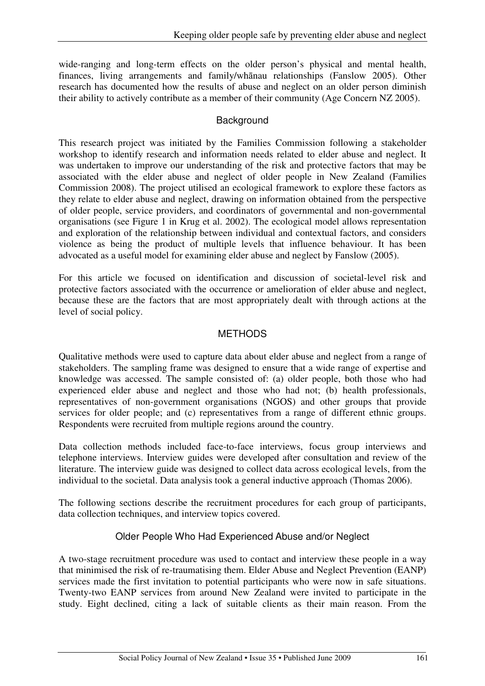wide-ranging and long-term effects on the older person's physical and mental health, finances, living arrangements and family/whānau relationships (Fanslow 2005). Other research has documented how the results of abuse and neglect on an older person diminish their ability to actively contribute as a member of their community (Age Concern NZ 2005).

## **Background**

This research project was initiated by the Families Commission following a stakeholder workshop to identify research and information needs related to elder abuse and neglect. It was undertaken to improve our understanding of the risk and protective factors that may be associated with the elder abuse and neglect of older people in New Zealand (Families Commission 2008). The project utilised an ecological framework to explore these factors as they relate to elder abuse and neglect, drawing on information obtained from the perspective of older people, service providers, and coordinators of governmental and non-governmental organisations (see Figure 1 in Krug et al. 2002). The ecological model allows representation and exploration of the relationship between individual and contextual factors, and considers violence as being the product of multiple levels that influence behaviour. It has been advocated as a useful model for examining elder abuse and neglect by Fanslow (2005).

For this article we focused on identification and discussion of societal-level risk and protective factors associated with the occurrence or amelioration of elder abuse and neglect, because these are the factors that are most appropriately dealt with through actions at the level of social policy.

# **METHODS**

Qualitative methods were used to capture data about elder abuse and neglect from a range of stakeholders. The sampling frame was designed to ensure that a wide range of expertise and knowledge was accessed. The sample consisted of: (a) older people, both those who had experienced elder abuse and neglect and those who had not; (b) health professionals, representatives of non-government organisations (NGOS) and other groups that provide services for older people; and (c) representatives from a range of different ethnic groups. Respondents were recruited from multiple regions around the country.

Data collection methods included face-to-face interviews, focus group interviews and telephone interviews. Interview guides were developed after consultation and review of the literature. The interview guide was designed to collect data across ecological levels, from the individual to the societal. Data analysis took a general inductive approach (Thomas 2006).

The following sections describe the recruitment procedures for each group of participants, data collection techniques, and interview topics covered.

# Older People Who Had Experienced Abuse and/or Neglect

A two-stage recruitment procedure was used to contact and interview these people in a way that minimised the risk of re-traumatising them. Elder Abuse and Neglect Prevention (EANP) services made the first invitation to potential participants who were now in safe situations. Twenty-two EANP services from around New Zealand were invited to participate in the study. Eight declined, citing a lack of suitable clients as their main reason. From the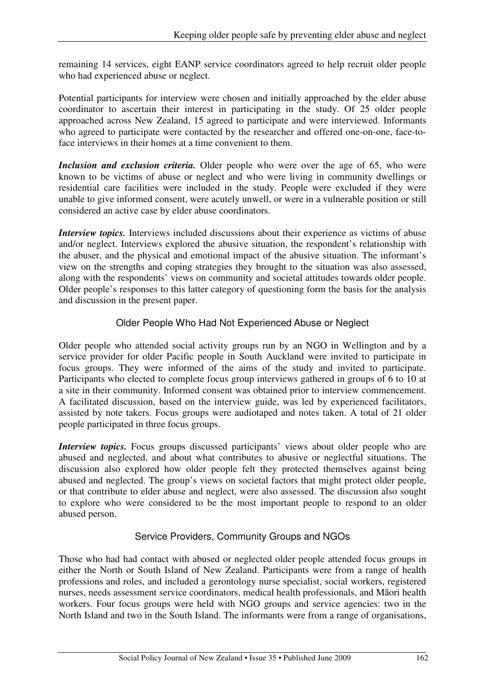remaining 14 services, eight EANP service coordinators agreed to help recruit older people who had experienced abuse or neglect.

Potential participants for interview were chosen and initially approached by the elder abuse coordinator to ascertain their interest in participating in the study. Of 25 older people approached across New Zealand, 15 agreed to participate and were interviewed. Informants who agreed to participate were contacted by the researcher and offered one-on-one, face-toface interviews in their homes at a time convenient to them.

*Inclusion and exclusion criteria.* Older people who were over the age of 65, who were known to be victims of abuse or neglect and who were living in community dwellings or residential care facilities were included in the study. People were excluded if they were unable to give informed consent, were acutely unwell, or were in a vulnerable position or still considered an active case by elder abuse coordinators.

*Interview topics.* Interviews included discussions about their experience as victims of abuse and/or neglect. Interviews explored the abusive situation, the respondent's relationship with the abuser, and the physical and emotional impact of the abusive situation. The informant's view on the strengths and coping strategies they brought to the situation was also assessed, along with the respondents' views on community and societal attitudes towards older people. Older people's responses to this latter category of questioning form the basis for the analysis and discussion in the present paper.

# Older People Who Had Not Experienced Abuse or Neglect

Older people who attended social activity groups run by an NGO in Wellington and by a service provider for older Pacific people in South Auckland were invited to participate in focus groups. They were informed of the aims of the study and invited to participate. Participants who elected to complete focus group interviews gathered in groups of 6 to 10 at a site in their community. Informed consent was obtained prior to interview commencement. A facilitated discussion, based on the interview guide, was led by experienced facilitators, assisted by note takers. Focus groups were audiotaped and notes taken. A total of 21 older people participated in three focus groups.

*Interview topics*. Focus groups discussed participants' views about older people who are abused and neglected, and about what contributes to abusive or neglectful situations. The discussion also explored how older people felt they protected themselves against being abused and neglected. The group's views on societal factors that might protect older people, or that contribute to elder abuse and neglect, were also assessed. The discussion also sought to explore who were considered to be the most important people to respond to an older abused person.

# Service Providers, Community Groups and NGOs

Those who had had contact with abused or neglected older people attended focus groups in either the North or South Island of New Zealand. Participants were from a range of health professions and roles, and included a gerontology nurse specialist, social workers, registered nurses, needs assessment service coordinators, medical health professionals, and Māori health workers. Four focus groups were held with NGO groups and service agencies: two in the North Island and two in the South Island. The informants were from a range of organisations,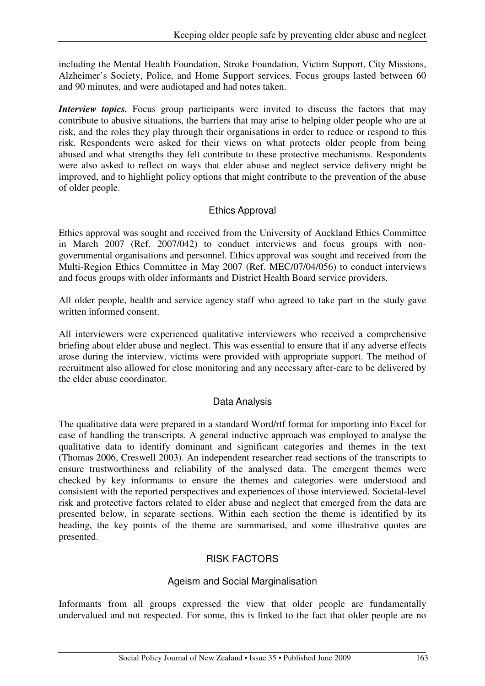including the Mental Health Foundation, Stroke Foundation, Victim Support, City Missions, Alzheimer's Society, Police, and Home Support services. Focus groups lasted between 60 and 90 minutes, and were audiotaped and had notes taken.

*Interview topics*. Focus group participants were invited to discuss the factors that may contribute to abusive situations, the barriers that may arise to helping older people who are at risk, and the roles they play through their organisations in order to reduce or respond to this risk. Respondents were asked for their views on what protects older people from being abused and what strengths they felt contribute to these protective mechanisms. Respondents were also asked to reflect on ways that elder abuse and neglect service delivery might be improved, and to highlight policy options that might contribute to the prevention of the abuse of older people.

# Ethics Approval

Ethics approval was sought and received from the University of Auckland Ethics Committee in March 2007 (Ref. 2007/042) to conduct interviews and focus groups with nongovernmental organisations and personnel. Ethics approval was sought and received from the Multi-Region Ethics Committee in May 2007 (Ref. MEC/07/04/056) to conduct interviews and focus groups with older informants and District Health Board service providers.

All older people, health and service agency staff who agreed to take part in the study gave written informed consent.

All interviewers were experienced qualitative interviewers who received a comprehensive briefing about elder abuse and neglect. This was essential to ensure that if any adverse effects arose during the interview, victims were provided with appropriate support. The method of recruitment also allowed for close monitoring and any necessary after-care to be delivered by the elder abuse coordinator.

# Data Analysis

The qualitative data were prepared in a standard Word/rtf format for importing into Excel for ease of handling the transcripts. A general inductive approach was employed to analyse the qualitative data to identify dominant and significant categories and themes in the text (Thomas 2006, Creswell 2003). An independent researcher read sections of the transcripts to ensure trustworthiness and reliability of the analysed data. The emergent themes were checked by key informants to ensure the themes and categories were understood and consistent with the reported perspectives and experiences of those interviewed. Societal-level risk and protective factors related to elder abuse and neglect that emerged from the data are presented below, in separate sections. Within each section the theme is identified by its heading, the key points of the theme are summarised, and some illustrative quotes are presented.

# RISK FACTORS

# Ageism and Social Marginalisation

Informants from all groups expressed the view that older people are fundamentally undervalued and not respected. For some, this is linked to the fact that older people are no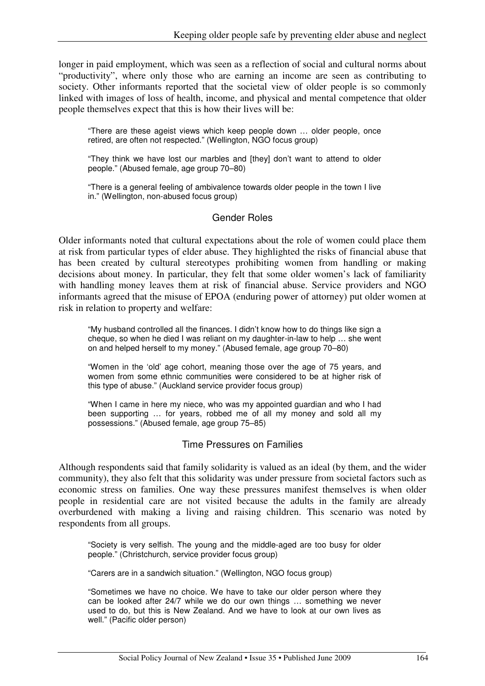longer in paid employment, which was seen as a reflection of social and cultural norms about "productivity", where only those who are earning an income are seen as contributing to society. Other informants reported that the societal view of older people is so commonly linked with images of loss of health, income, and physical and mental competence that older people themselves expect that this is how their lives will be:

"There are these ageist views which keep people down … older people, once retired, are often not respected." (Wellington, NGO focus group)

"They think we have lost our marbles and [they] don't want to attend to older people." (Abused female, age group 70–80)

"There is a general feeling of ambivalence towards older people in the town I live in." (Wellington, non-abused focus group)

#### Gender Roles

Older informants noted that cultural expectations about the role of women could place them at risk from particular types of elder abuse. They highlighted the risks of financial abuse that has been created by cultural stereotypes prohibiting women from handling or making decisions about money. In particular, they felt that some older women's lack of familiarity with handling money leaves them at risk of financial abuse. Service providers and NGO informants agreed that the misuse of EPOA (enduring power of attorney) put older women at risk in relation to property and welfare:

"My husband controlled all the finances. I didn't know how to do things like sign a cheque, so when he died I was reliant on my daughter-in-law to help … she went on and helped herself to my money." (Abused female, age group 70–80)

"Women in the 'old' age cohort, meaning those over the age of 75 years, and women from some ethnic communities were considered to be at higher risk of this type of abuse." (Auckland service provider focus group)

"When I came in here my niece, who was my appointed guardian and who I had been supporting … for years, robbed me of all my money and sold all my possessions." (Abused female, age group 75–85)

#### Time Pressures on Families

Although respondents said that family solidarity is valued as an ideal (by them, and the wider community), they also felt that this solidarity was under pressure from societal factors such as economic stress on families. One way these pressures manifest themselves is when older people in residential care are not visited because the adults in the family are already overburdened with making a living and raising children. This scenario was noted by respondents from all groups.

"Society is very selfish. The young and the middle-aged are too busy for older people." (Christchurch, service provider focus group)

"Carers are in a sandwich situation." (Wellington, NGO focus group)

"Sometimes we have no choice. We have to take our older person where they can be looked after 24/7 while we do our own things … something we never used to do, but this is New Zealand. And we have to look at our own lives as well." (Pacific older person)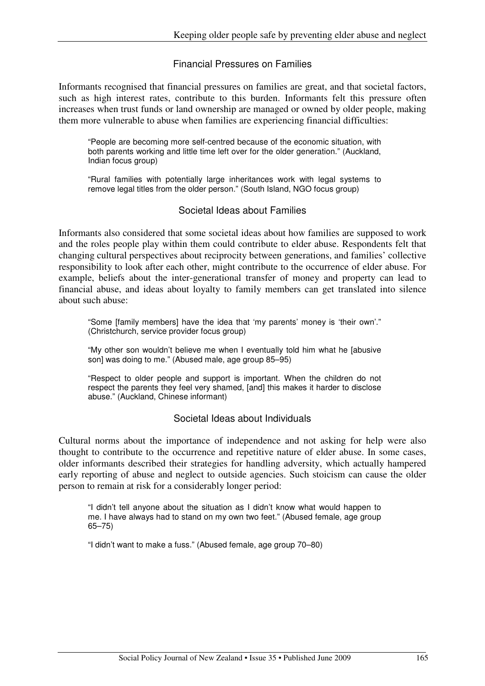#### Financial Pressures on Families

Informants recognised that financial pressures on families are great, and that societal factors, such as high interest rates, contribute to this burden. Informants felt this pressure often increases when trust funds or land ownership are managed or owned by older people, making them more vulnerable to abuse when families are experiencing financial difficulties:

"People are becoming more self-centred because of the economic situation, with both parents working and little time left over for the older generation." (Auckland, Indian focus group)

"Rural families with potentially large inheritances work with legal systems to remove legal titles from the older person." (South Island, NGO focus group)

#### Societal Ideas about Families

Informants also considered that some societal ideas about how families are supposed to work and the roles people play within them could contribute to elder abuse. Respondents felt that changing cultural perspectives about reciprocity between generations, and families' collective responsibility to look after each other, might contribute to the occurrence of elder abuse. For example, beliefs about the inter-generational transfer of money and property can lead to financial abuse, and ideas about loyalty to family members can get translated into silence about such abuse:

"Some [family members] have the idea that 'my parents' money is 'their own'." (Christchurch, service provider focus group)

"My other son wouldn't believe me when I eventually told him what he [abusive son] was doing to me." (Abused male, age group 85–95)

"Respect to older people and support is important. When the children do not respect the parents they feel very shamed, [and] this makes it harder to disclose abuse." (Auckland, Chinese informant)

#### Societal Ideas about Individuals

Cultural norms about the importance of independence and not asking for help were also thought to contribute to the occurrence and repetitive nature of elder abuse. In some cases, older informants described their strategies for handling adversity, which actually hampered early reporting of abuse and neglect to outside agencies. Such stoicism can cause the older person to remain at risk for a considerably longer period:

"I didn't tell anyone about the situation as I didn't know what would happen to me. I have always had to stand on my own two feet." (Abused female, age group 65–75)

"I didn't want to make a fuss." (Abused female, age group 70–80)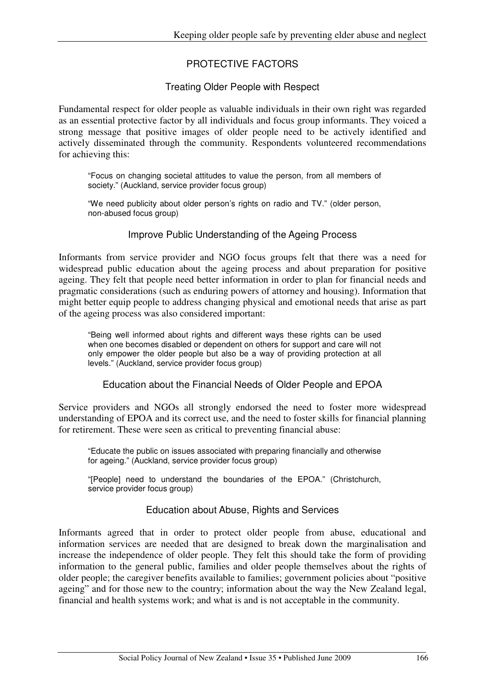# PROTECTIVE FACTORS

## Treating Older People with Respect

Fundamental respect for older people as valuable individuals in their own right was regarded as an essential protective factor by all individuals and focus group informants. They voiced a strong message that positive images of older people need to be actively identified and actively disseminated through the community. Respondents volunteered recommendations for achieving this:

"Focus on changing societal attitudes to value the person, from all members of society." (Auckland, service provider focus group)

"We need publicity about older person's rights on radio and TV." (older person, non-abused focus group)

#### Improve Public Understanding of the Ageing Process

Informants from service provider and NGO focus groups felt that there was a need for widespread public education about the ageing process and about preparation for positive ageing. They felt that people need better information in order to plan for financial needs and pragmatic considerations (such as enduring powers of attorney and housing). Information that might better equip people to address changing physical and emotional needs that arise as part of the ageing process was also considered important:

"Being well informed about rights and different ways these rights can be used when one becomes disabled or dependent on others for support and care will not only empower the older people but also be a way of providing protection at all levels." (Auckland, service provider focus group)

Education about the Financial Needs of Older People and EPOA

Service providers and NGOs all strongly endorsed the need to foster more widespread understanding of EPOA and its correct use, and the need to foster skills for financial planning for retirement. These were seen as critical to preventing financial abuse:

"Educate the public on issues associated with preparing financially and otherwise for ageing." (Auckland, service provider focus group)

"[People] need to understand the boundaries of the EPOA." (Christchurch, service provider focus group)

#### Education about Abuse, Rights and Services

Informants agreed that in order to protect older people from abuse, educational and information services are needed that are designed to break down the marginalisation and increase the independence of older people. They felt this should take the form of providing information to the general public, families and older people themselves about the rights of older people; the caregiver benefits available to families; government policies about "positive ageing" and for those new to the country; information about the way the New Zealand legal, financial and health systems work; and what is and is not acceptable in the community.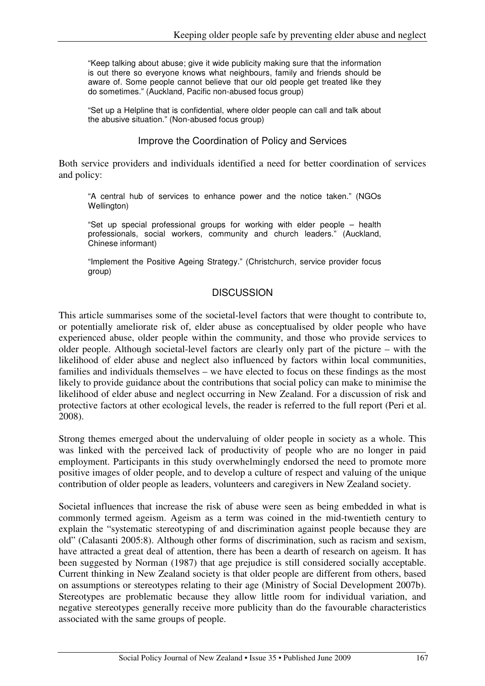"Keep talking about abuse; give it wide publicity making sure that the information is out there so everyone knows what neighbours, family and friends should be aware of. Some people cannot believe that our old people get treated like they do sometimes." (Auckland, Pacific non-abused focus group)

"Set up a Helpline that is confidential, where older people can call and talk about the abusive situation." (Non-abused focus group)

Improve the Coordination of Policy and Services

Both service providers and individuals identified a need for better coordination of services and policy:

"A central hub of services to enhance power and the notice taken." (NGOs Wellington)

"Set up special professional groups for working with elder people – health professionals, social workers, community and church leaders." (Auckland, Chinese informant)

"Implement the Positive Ageing Strategy." (Christchurch, service provider focus group)

# **DISCUSSION**

This article summarises some of the societal-level factors that were thought to contribute to, or potentially ameliorate risk of, elder abuse as conceptualised by older people who have experienced abuse, older people within the community, and those who provide services to older people. Although societal-level factors are clearly only part of the picture – with the likelihood of elder abuse and neglect also influenced by factors within local communities, families and individuals themselves – we have elected to focus on these findings as the most likely to provide guidance about the contributions that social policy can make to minimise the likelihood of elder abuse and neglect occurring in New Zealand. For a discussion of risk and protective factors at other ecological levels, the reader is referred to the full report (Peri et al. 2008).

Strong themes emerged about the undervaluing of older people in society as a whole. This was linked with the perceived lack of productivity of people who are no longer in paid employment. Participants in this study overwhelmingly endorsed the need to promote more positive images of older people, and to develop a culture of respect and valuing of the unique contribution of older people as leaders, volunteers and caregivers in New Zealand society.

Societal influences that increase the risk of abuse were seen as being embedded in what is commonly termed ageism. Ageism as a term was coined in the mid-twentieth century to explain the "systematic stereotyping of and discrimination against people because they are old" (Calasanti 2005:8). Although other forms of discrimination, such as racism and sexism, have attracted a great deal of attention, there has been a dearth of research on ageism. It has been suggested by Norman (1987) that age prejudice is still considered socially acceptable. Current thinking in New Zealand society is that older people are different from others, based on assumptions or stereotypes relating to their age (Ministry of Social Development 2007b). Stereotypes are problematic because they allow little room for individual variation, and negative stereotypes generally receive more publicity than do the favourable characteristics associated with the same groups of people.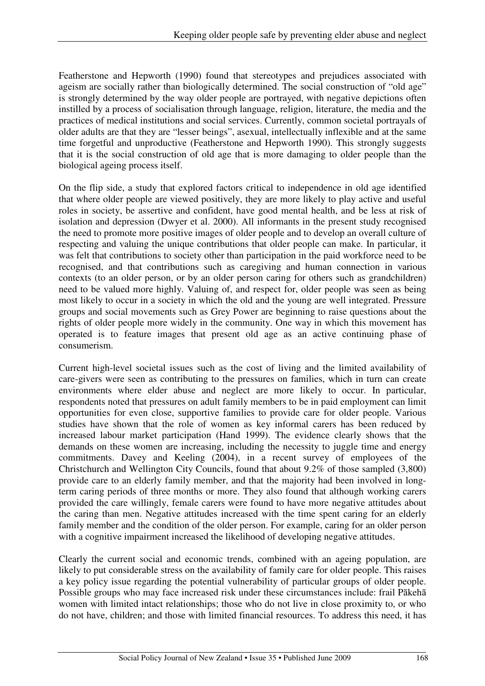Featherstone and Hepworth (1990) found that stereotypes and prejudices associated with ageism are socially rather than biologically determined. The social construction of "old age" is strongly determined by the way older people are portrayed, with negative depictions often instilled by a process of socialisation through language, religion, literature, the media and the practices of medical institutions and social services. Currently, common societal portrayals of older adults are that they are "lesser beings", asexual, intellectually inflexible and at the same time forgetful and unproductive (Featherstone and Hepworth 1990). This strongly suggests that it is the social construction of old age that is more damaging to older people than the biological ageing process itself.

On the flip side, a study that explored factors critical to independence in old age identified that where older people are viewed positively, they are more likely to play active and useful roles in society, be assertive and confident, have good mental health, and be less at risk of isolation and depression (Dwyer et al. 2000). All informants in the present study recognised the need to promote more positive images of older people and to develop an overall culture of respecting and valuing the unique contributions that older people can make. In particular, it was felt that contributions to society other than participation in the paid workforce need to be recognised, and that contributions such as caregiving and human connection in various contexts (to an older person, or by an older person caring for others such as grandchildren) need to be valued more highly. Valuing of, and respect for, older people was seen as being most likely to occur in a society in which the old and the young are well integrated. Pressure groups and social movements such as Grey Power are beginning to raise questions about the rights of older people more widely in the community. One way in which this movement has operated is to feature images that present old age as an active continuing phase of consumerism.

Current high-level societal issues such as the cost of living and the limited availability of care-givers were seen as contributing to the pressures on families, which in turn can create environments where elder abuse and neglect are more likely to occur. In particular, respondents noted that pressures on adult family members to be in paid employment can limit opportunities for even close, supportive families to provide care for older people. Various studies have shown that the role of women as key informal carers has been reduced by increased labour market participation (Hand 1999). The evidence clearly shows that the demands on these women are increasing, including the necessity to juggle time and energy commitments. Davey and Keeling (2004), in a recent survey of employees of the Christchurch and Wellington City Councils, found that about 9.2% of those sampled (3,800) provide care to an elderly family member, and that the majority had been involved in longterm caring periods of three months or more. They also found that although working carers provided the care willingly, female carers were found to have more negative attitudes about the caring than men. Negative attitudes increased with the time spent caring for an elderly family member and the condition of the older person. For example, caring for an older person with a cognitive impairment increased the likelihood of developing negative attitudes.

Clearly the current social and economic trends, combined with an ageing population, are likely to put considerable stress on the availability of family care for older people. This raises a key policy issue regarding the potential vulnerability of particular groups of older people. Possible groups who may face increased risk under these circumstances include: frail Pākehā women with limited intact relationships; those who do not live in close proximity to, or who do not have, children; and those with limited financial resources. To address this need, it has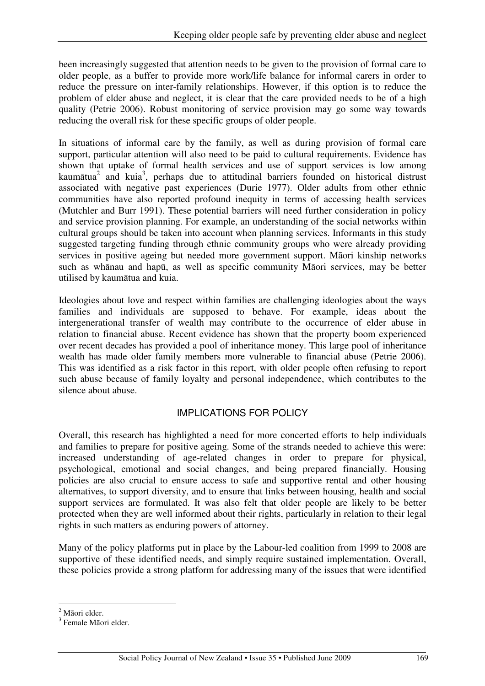been increasingly suggested that attention needs to be given to the provision of formal care to older people, as a buffer to provide more work/life balance for informal carers in order to reduce the pressure on inter-family relationships. However, if this option is to reduce the problem of elder abuse and neglect, it is clear that the care provided needs to be of a high quality (Petrie 2006). Robust monitoring of service provision may go some way towards reducing the overall risk for these specific groups of older people.

In situations of informal care by the family, as well as during provision of formal care support, particular attention will also need to be paid to cultural requirements. Evidence has shown that uptake of formal health services and use of support services is low among kaumātua<sup>2</sup> and kuia<sup>3</sup>, perhaps due to attitudinal barriers founded on historical distrust associated with negative past experiences (Durie 1977). Older adults from other ethnic communities have also reported profound inequity in terms of accessing health services (Mutchler and Burr 1991). These potential barriers will need further consideration in policy and service provision planning. For example, an understanding of the social networks within cultural groups should be taken into account when planning services. Informants in this study suggested targeting funding through ethnic community groups who were already providing services in positive ageing but needed more government support. Māori kinship networks such as whānau and hapū, as well as specific community Māori services, may be better utilised by kaumātua and kuia.

Ideologies about love and respect within families are challenging ideologies about the ways families and individuals are supposed to behave. For example, ideas about the intergenerational transfer of wealth may contribute to the occurrence of elder abuse in relation to financial abuse. Recent evidence has shown that the property boom experienced over recent decades has provided a pool of inheritance money. This large pool of inheritance wealth has made older family members more vulnerable to financial abuse (Petrie 2006). This was identified as a risk factor in this report, with older people often refusing to report such abuse because of family loyalty and personal independence, which contributes to the silence about abuse.

# IMPLICATIONS FOR POLICY

Overall, this research has highlighted a need for more concerted efforts to help individuals and families to prepare for positive ageing. Some of the strands needed to achieve this were: increased understanding of age-related changes in order to prepare for physical, psychological, emotional and social changes, and being prepared financially. Housing policies are also crucial to ensure access to safe and supportive rental and other housing alternatives, to support diversity, and to ensure that links between housing, health and social support services are formulated. It was also felt that older people are likely to be better protected when they are well informed about their rights, particularly in relation to their legal rights in such matters as enduring powers of attorney.

Many of the policy platforms put in place by the Labour-led coalition from 1999 to 2008 are supportive of these identified needs, and simply require sustained implementation. Overall, these policies provide a strong platform for addressing many of the issues that were identified

<sup>&</sup>lt;sup>2</sup> Māori elder.

<sup>&</sup>lt;sup>3</sup> Female Māori elder.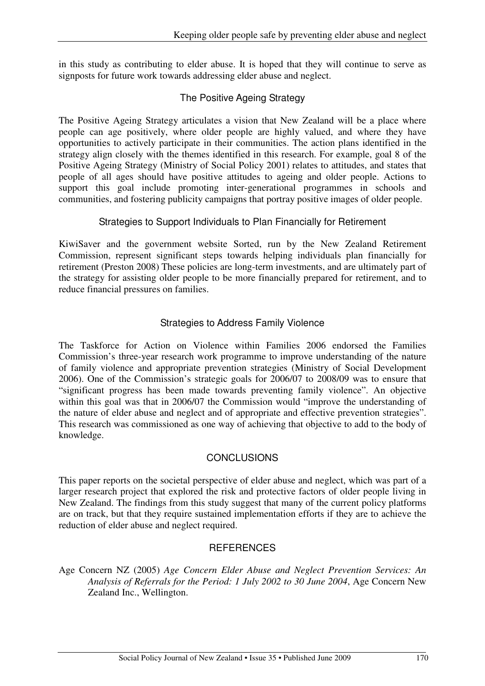in this study as contributing to elder abuse. It is hoped that they will continue to serve as signposts for future work towards addressing elder abuse and neglect.

# The Positive Ageing Strategy

The Positive Ageing Strategy articulates a vision that New Zealand will be a place where people can age positively, where older people are highly valued, and where they have opportunities to actively participate in their communities. The action plans identified in the strategy align closely with the themes identified in this research. For example, goal 8 of the Positive Ageing Strategy (Ministry of Social Policy 2001) relates to attitudes, and states that people of all ages should have positive attitudes to ageing and older people. Actions to support this goal include promoting inter-generational programmes in schools and communities, and fostering publicity campaigns that portray positive images of older people.

# Strategies to Support Individuals to Plan Financially for Retirement

KiwiSaver and the government website Sorted, run by the New Zealand Retirement Commission, represent significant steps towards helping individuals plan financially for retirement (Preston 2008) These policies are long-term investments, and are ultimately part of the strategy for assisting older people to be more financially prepared for retirement, and to reduce financial pressures on families.

# Strategies to Address Family Violence

The Taskforce for Action on Violence within Families 2006 endorsed the Families Commission's three-year research work programme to improve understanding of the nature of family violence and appropriate prevention strategies (Ministry of Social Development 2006). One of the Commission's strategic goals for 2006/07 to 2008/09 was to ensure that "significant progress has been made towards preventing family violence". An objective within this goal was that in 2006/07 the Commission would "improve the understanding of the nature of elder abuse and neglect and of appropriate and effective prevention strategies". This research was commissioned as one way of achieving that objective to add to the body of knowledge.

# **CONCLUSIONS**

This paper reports on the societal perspective of elder abuse and neglect, which was part of a larger research project that explored the risk and protective factors of older people living in New Zealand. The findings from this study suggest that many of the current policy platforms are on track, but that they require sustained implementation efforts if they are to achieve the reduction of elder abuse and neglect required.

# **REFERENCES**

Age Concern NZ (2005) *Age Concern Elder Abuse and Neglect Prevention Services: An Analysis of Referrals for the Period: 1 July 2002 to 30 June 2004*, Age Concern New Zealand Inc., Wellington.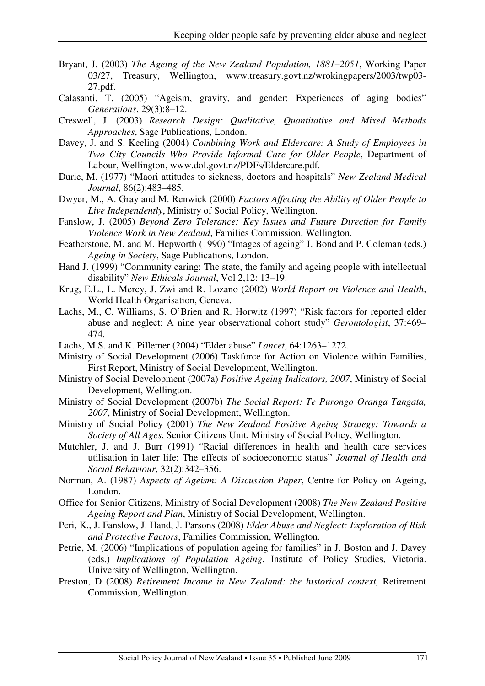- Bryant, J. (2003) *The Ageing of the New Zealand Population, 1881–2051*, Working Paper 03/27, Treasury, Wellington, www.treasury.govt.nz/wrokingpapers/2003/twp03- 27.pdf.
- Calasanti, T. (2005) "Ageism, gravity, and gender: Experiences of aging bodies" *Generations*, 29(3):8–12.
- Creswell, J. (2003) *Research Design: Qualitative, Quantitative and Mixed Methods Approaches*, Sage Publications, London.
- Davey, J. and S. Keeling (2004) *Combining Work and Eldercare: A Study of Employees in Two City Councils Who Provide Informal Care for Older People*, Department of Labour, Wellington, www.dol.govt.nz/PDFs/Eldercare.pdf.
- Durie, M. (1977) "Maori attitudes to sickness, doctors and hospitals" *New Zealand Medical Journal*, 86(2):483–485.
- Dwyer, M., A. Gray and M. Renwick (2000) *Factors Affecting the Ability of Older People to Live Independently*, Ministry of Social Policy, Wellington.
- Fanslow, J. (2005) *Beyond Zero Tolerance: Key Issues and Future Direction for Family Violence Work in New Zealand*, Families Commission, Wellington.
- Featherstone, M. and M. Hepworth (1990) "Images of ageing" J. Bond and P. Coleman (eds.) *Ageing in Society*, Sage Publications, London.
- Hand J. (1999) "Community caring: The state, the family and ageing people with intellectual disability" *New Ethicals Journal*, Vol 2,12: 13–19.
- Krug, E.L., L. Mercy, J. Zwi and R. Lozano (2002) *World Report on Violence and Health*, World Health Organisation, Geneva.
- Lachs, M., C. Williams, S. O'Brien and R. Horwitz (1997) "Risk factors for reported elder abuse and neglect: A nine year observational cohort study" *Gerontologist*, 37:469– 474.
- Lachs, M.S. and K. Pillemer (2004) "Elder abuse" *Lancet*, 64:1263–1272.
- Ministry of Social Development (2006) Taskforce for Action on Violence within Families, First Report, Ministry of Social Development, Wellington.
- Ministry of Social Development (2007a) *Positive Ageing Indicators, 2007*, Ministry of Social Development, Wellington.
- Ministry of Social Development (2007b) *The Social Report: Te Purongo Oranga Tangata, 2007*, Ministry of Social Development, Wellington.
- Ministry of Social Policy (2001) *The New Zealand Positive Ageing Strategy: Towards a Society of All Ages*, Senior Citizens Unit, Ministry of Social Policy, Wellington.
- Mutchler, J. and J. Burr (1991) "Racial differences in health and health care services utilisation in later life: The effects of socioeconomic status" *Journal of Health and Social Behaviour*, 32(2):342–356.
- Norman, A. (1987) *Aspects of Ageism: A Discussion Paper*, Centre for Policy on Ageing, London.
- Office for Senior Citizens, Ministry of Social Development (2008) *The New Zealand Positive Ageing Report and Plan*, Ministry of Social Development, Wellington.
- Peri, K., J. Fanslow, J. Hand, J. Parsons (2008) *Elder Abuse and Neglect: Exploration of Risk and Protective Factors*, Families Commission, Wellington.
- Petrie, M. (2006) "Implications of population ageing for families" in J. Boston and J. Davey (eds.) *Implications of Population Ageing*, Institute of Policy Studies, Victoria. University of Wellington, Wellington.
- Preston, D (2008) *Retirement Income in New Zealand: the historical context*, Retirement Commission, Wellington.